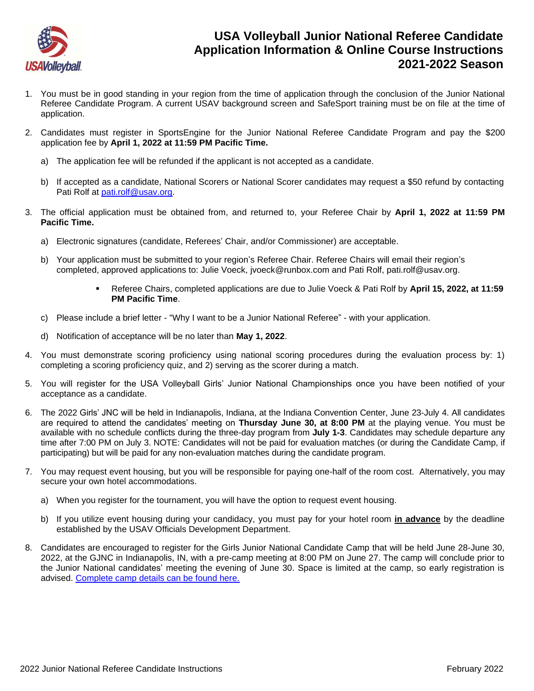

## **USA Volleyball Junior National Referee Candidate Application Information & Online Course Instructions 2021-2022 Season**

- 1. You must be in good standing in your region from the time of application through the conclusion of the Junior National Referee Candidate Program. A current USAV background screen and SafeSport training must be on file at the time of application.
- 2. Candidates must register in SportsEngine for the Junior National Referee Candidate Program and pay the \$200 application fee by **April 1, 2022 at 11:59 PM Pacific Time.**
	- a) The application fee will be refunded if the applicant is not accepted as a candidate.
	- b) If accepted as a candidate, National Scorers or National Scorer candidates may request a \$50 refund by contacting Pati Rolf at [pati.rolf@usav.org.](mailto:pati.rolf@usav.org)
- 3. The official application must be obtained from, and returned to, your Referee Chair by **April 1, 2022 at 11:59 PM Pacific Time.**
	- a) Electronic signatures (candidate, Referees' Chair, and/or Commissioner) are acceptable.
	- b) Your application must be submitted to your region's Referee Chair. Referee Chairs will email their region's completed, approved applications to: Julie Voeck, jvoeck@runbox.com and Pati Rolf, pati.rolf@usav.org.
		- Referee Chairs, completed applications are due to Julie Voeck & Pati Rolf by **April 15, 2022, at 11:59 PM Pacific Time**.
	- c) Please include a brief letter "Why I want to be a Junior National Referee" with your application.
	- d) Notification of acceptance will be no later than **May 1, 2022**.
- 4. You must demonstrate scoring proficiency using national scoring procedures during the evaluation process by: 1) completing a scoring proficiency quiz, and 2) serving as the scorer during a match.
- 5. You will register for the USA Volleyball Girls' Junior National Championships once you have been notified of your acceptance as a candidate.
- 6. The 2022 Girls' JNC will be held in Indianapolis, Indiana, at the Indiana Convention Center, June 23-July 4. All candidates are required to attend the candidates' meeting on **Thursday June 30, at 8:00 PM** at the playing venue. You must be available with no schedule conflicts during the three-day program from **July 1-3**. Candidates may schedule departure any time after 7:00 PM on July 3. NOTE: Candidates will not be paid for evaluation matches (or during the Candidate Camp, if participating) but will be paid for any non-evaluation matches during the candidate program.
- 7. You may request event housing, but you will be responsible for paying one-half of the room cost. Alternatively, you may secure your own hotel accommodations.
	- a) When you register for the tournament, you will have the option to request event housing.
	- b) If you utilize event housing during your candidacy, you must pay for your hotel room **in advance** by the deadline established by the USAV Officials Development Department.
- 8. Candidates are encouraged to register for the Girls Junior National Candidate Camp that will be held June 28-June 30, 2022, at the GJNC in Indianapolis, IN, with a pre-camp meeting at 8:00 PM on June 27. The camp will conclude prior to the Junior National candidates' meeting the evening of June 30. Space is limited at the camp, so early registration is advised. [Complete camp details can be found here.](https://usavolleyball.org/resources-for-officials/officials-resources/#applications)